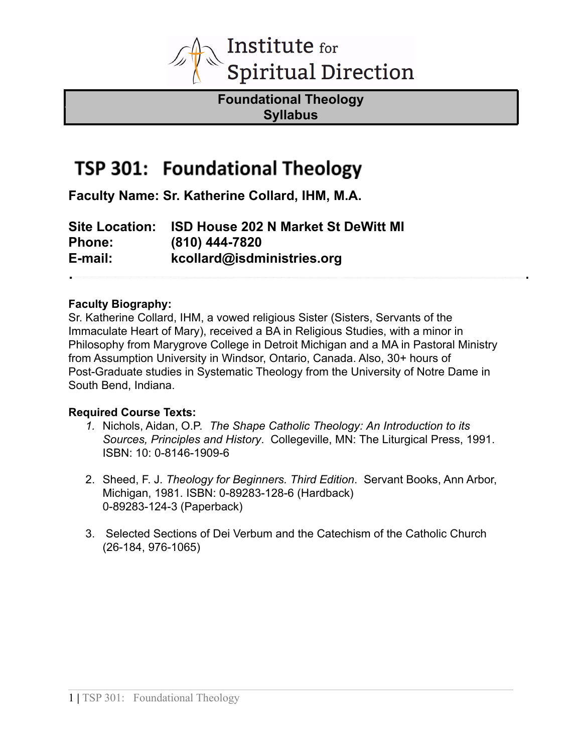

**Foundational Theology Syllabus**

## TSP 301: Foundational Theology

**Faculty Name: Sr. Katherine Collard, IHM, M.A.**

**Site Location: ISD House 202 N Market St DeWitt MI Phone: (810) 444-7820 E-mail: kcollard@isdministries.org**

#### **Faculty Biography:**

Sr. Katherine Collard, IHM, a vowed religious Sister (Sisters, Servants of the Immaculate Heart of Mary), received a BA in Religious Studies, with a minor in Philosophy from Marygrove College in Detroit Michigan and a MA in Pastoral Ministry from Assumption University in Windsor, Ontario, Canada. Also, 30+ hours of Post-Graduate studies in Systematic Theology from the University of Notre Dame in South Bend, Indiana.

## **Required Course Texts:**

- *1.* Nichols, Aidan, O.P. *The Shape Catholic Theology: An Introduction to its Sources, Principles and History*. Collegeville, MN: The Liturgical Press, 1991. ISBN: 10: 0-8146-1909-6
- 2. Sheed, F. J. *Theology for Beginners. Third Edition*. Servant Books, Ann Arbor, Michigan, 1981. ISBN: 0-89283-128-6 (Hardback) 0-89283-124-3 (Paperback)
- 3. Selected Sections of Dei Verbum and the Catechism of the Catholic Church (26-184, 976-1065)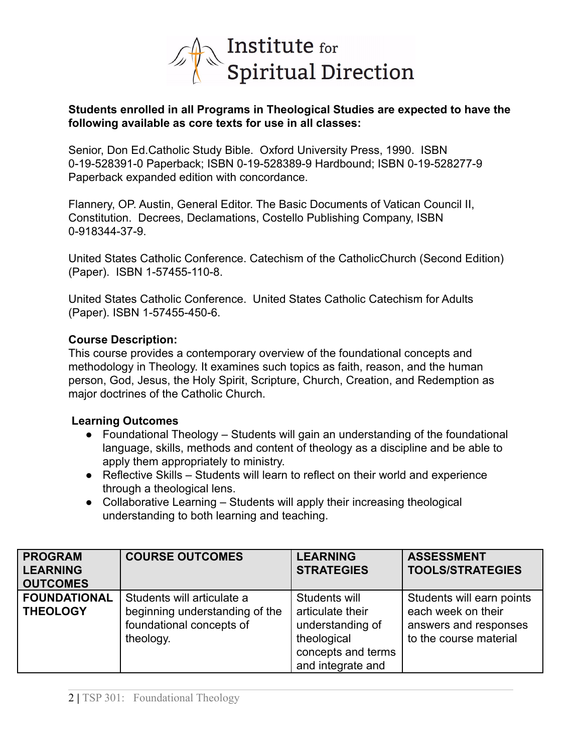

#### **Students enrolled in all Programs in Theological Studies are expected to have the following available as core texts for use in all classes:**

Senior, Don Ed.Catholic Study Bible. Oxford University Press, 1990. ISBN 0-19-528391-0 Paperback; ISBN 0-19-528389-9 Hardbound; ISBN 0-19-528277-9 Paperback expanded edition with concordance.

Flannery, OP. Austin, General Editor. The Basic Documents of Vatican Council II, Constitution. Decrees, Declamations, Costello Publishing Company, ISBN 0-918344-37-9.

United States Catholic Conference. Catechism of the CatholicChurch (Second Edition) (Paper). ISBN 1-57455-110-8.

United States Catholic Conference. United States Catholic Catechism for Adults (Paper). ISBN 1-57455-450-6.

## **Course Description:**

This course provides a contemporary overview of the foundational concepts and methodology in Theology. It examines such topics as faith, reason, and the human person, God, Jesus, the Holy Spirit, Scripture, Church, Creation, and Redemption as major doctrines of the Catholic Church.

#### **Learning Outcomes**

- Foundational Theology Students will gain an understanding of the foundational language, skills, methods and content of theology as a discipline and be able to apply them appropriately to ministry.
- Reflective Skills Students will learn to reflect on their world and experience through a theological lens.
- Collaborative Learning Students will apply their increasing theological understanding to both learning and teaching.

| <b>PROGRAM</b><br><b>LEARNING</b><br><b>OUTCOMES</b> | <b>COURSE OUTCOMES</b>                                                                                | <b>LEARNING</b><br><b>STRATEGIES</b>                                                                            | <b>ASSESSMENT</b><br><b>TOOLS/STRATEGIES</b>                                                       |
|------------------------------------------------------|-------------------------------------------------------------------------------------------------------|-----------------------------------------------------------------------------------------------------------------|----------------------------------------------------------------------------------------------------|
| <b>FOUNDATIONAL</b><br><b>THEOLOGY</b>               | Students will articulate a<br>beginning understanding of the<br>foundational concepts of<br>theology. | Students will<br>articulate their<br>understanding of<br>theological<br>concepts and terms<br>and integrate and | Students will earn points<br>each week on their<br>answers and responses<br>to the course material |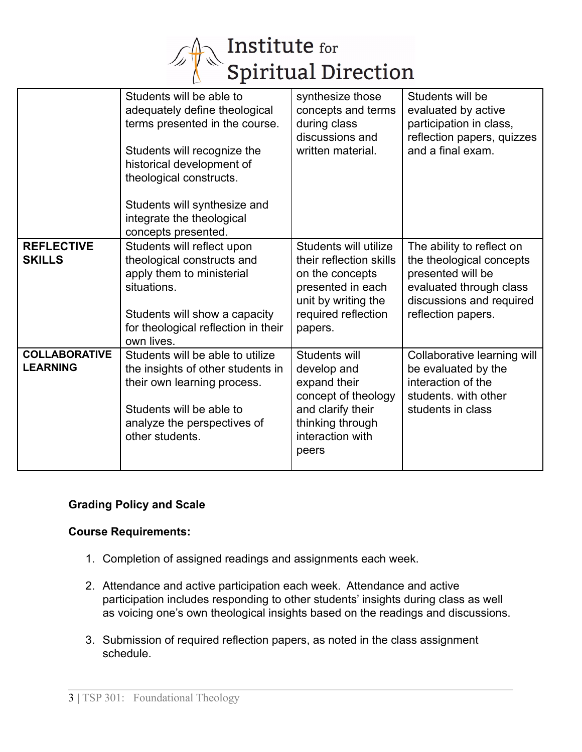

|                                         | Students will be able to<br>adequately define theological<br>terms presented in the course.<br>Students will recognize the<br>historical development of<br>theological constructs.<br>Students will synthesize and<br>integrate the theological<br>concepts presented. | synthesize those<br>concepts and terms<br>during class<br>discussions and<br>written material.                                                    | Students will be<br>evaluated by active<br>participation in class,<br>reflection papers, quizzes<br>and a final exam.                                   |
|-----------------------------------------|------------------------------------------------------------------------------------------------------------------------------------------------------------------------------------------------------------------------------------------------------------------------|---------------------------------------------------------------------------------------------------------------------------------------------------|---------------------------------------------------------------------------------------------------------------------------------------------------------|
| <b>REFLECTIVE</b><br><b>SKILLS</b>      | Students will reflect upon<br>theological constructs and<br>apply them to ministerial<br>situations.<br>Students will show a capacity<br>for theological reflection in their<br>own lives.                                                                             | Students will utilize<br>their reflection skills<br>on the concepts<br>presented in each<br>unit by writing the<br>required reflection<br>papers. | The ability to reflect on<br>the theological concepts<br>presented will be<br>evaluated through class<br>discussions and required<br>reflection papers. |
| <b>COLLABORATIVE</b><br><b>LEARNING</b> | Students will be able to utilize<br>the insights of other students in<br>their own learning process.<br>Students will be able to<br>analyze the perspectives of<br>other students.                                                                                     | Students will<br>develop and<br>expand their<br>concept of theology<br>and clarify their<br>thinking through<br>interaction with<br>peers         | Collaborative learning will<br>be evaluated by the<br>interaction of the<br>students. with other<br>students in class                                   |

## **Grading Policy and Scale**

## **Course Requirements:**

- 1. Completion of assigned readings and assignments each week.
- 2. Attendance and active participation each week. Attendance and active participation includes responding to other students' insights during class as well as voicing one's own theological insights based on the readings and discussions.
- 3. Submission of required reflection papers, as noted in the class assignment schedule.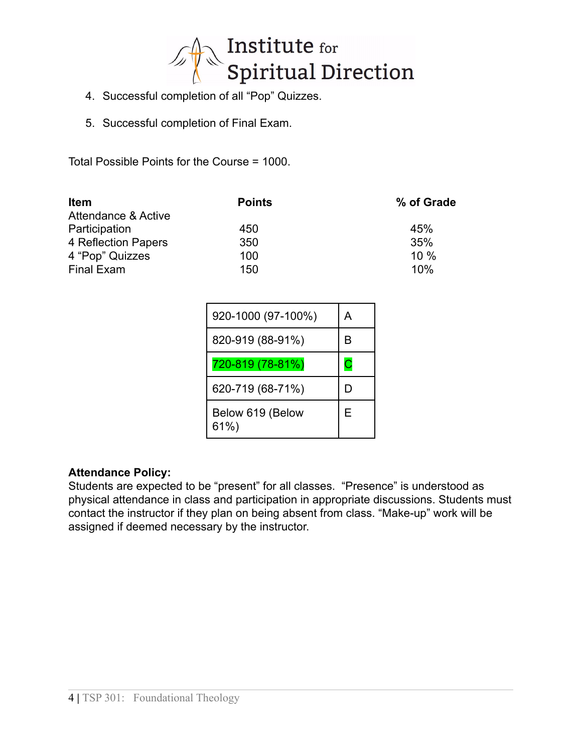

- 4. Successful completion of all "Pop" Quizzes.
- 5. Successful completion of Final Exam.

Total Possible Points for the Course = 1000.

| <b>Item</b>                    | <b>Points</b> | % of Grade |
|--------------------------------|---------------|------------|
| <b>Attendance &amp; Active</b> |               |            |
| Participation                  | 450           | 45%        |
| 4 Reflection Papers            | 350           | 35%        |
| 4 "Pop" Quizzes                | 100           | $10\%$     |
| Final Exam                     | 150           | 10%        |

| 920-1000 (97-100%)      | А |
|-------------------------|---|
| 820-919 (88-91%)        | B |
| 720-819 (78-81%)        | С |
| 620-719 (68-71%)        | D |
| Below 619 (Below<br>61% | Е |

## **Attendance Policy:**

Students are expected to be "present" for all classes. "Presence" is understood as physical attendance in class and participation in appropriate discussions. Students must contact the instructor if they plan on being absent from class. "Make-up" work will be assigned if deemed necessary by the instructor.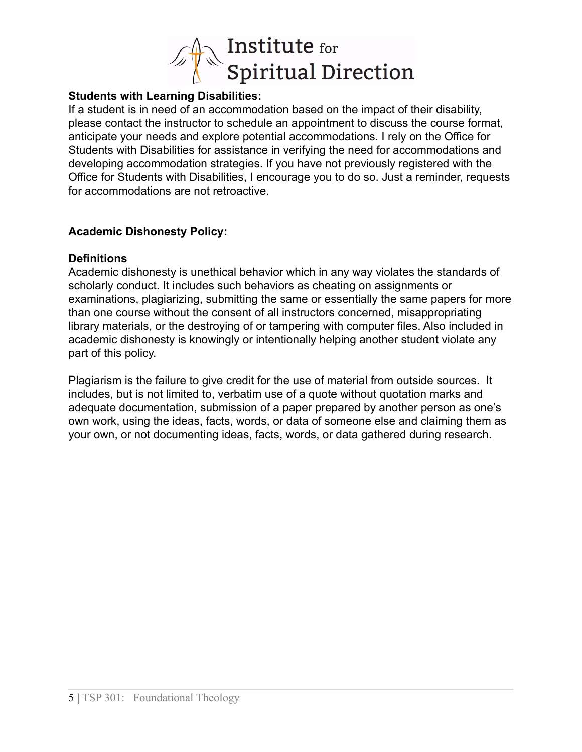

## **Students with Learning Disabilities:**

If a student is in need of an accommodation based on the impact of their disability, please contact the instructor to schedule an appointment to discuss the course format, anticipate your needs and explore potential accommodations. I rely on the Office for Students with Disabilities for assistance in verifying the need for accommodations and developing accommodation strategies. If you have not previously registered with the Office for Students with Disabilities, I encourage you to do so. Just a reminder, requests for accommodations are not retroactive.

## **Academic Dishonesty Policy:**

## **Definitions**

Academic dishonesty is unethical behavior which in any way violates the standards of scholarly conduct. It includes such behaviors as cheating on assignments or examinations, plagiarizing, submitting the same or essentially the same papers for more than one course without the consent of all instructors concerned, misappropriating library materials, or the destroying of or tampering with computer files. Also included in academic dishonesty is knowingly or intentionally helping another student violate any part of this policy.

Plagiarism is the failure to give credit for the use of material from outside sources. It includes, but is not limited to, verbatim use of a quote without quotation marks and adequate documentation, submission of a paper prepared by another person as one's own work, using the ideas, facts, words, or data of someone else and claiming them as your own, or not documenting ideas, facts, words, or data gathered during research.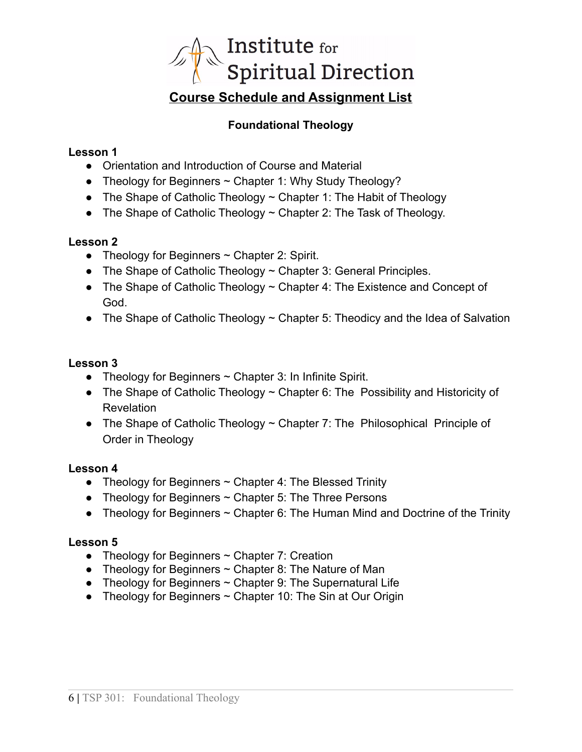

# **Foundational Theology**

## **Lesson 1**

- Orientation and Introduction of Course and Material
- Theology for Beginners  $\sim$  Chapter 1: Why Study Theology?
- The Shape of Catholic Theology  $\sim$  Chapter 1: The Habit of Theology
- The Shape of Catholic Theology  $\sim$  Chapter 2: The Task of Theology.

## **Lesson 2**

- Theology for Beginners  $\sim$  Chapter 2: Spirit.
- The Shape of Catholic Theology  $\sim$  Chapter 3: General Principles.
- The Shape of Catholic Theology  $\sim$  Chapter 4: The Existence and Concept of God.
- The Shape of Catholic Theology  $\sim$  Chapter 5: Theodicy and the Idea of Salvation

## **Lesson 3**

- Theology for Beginners  $\sim$  Chapter 3: In Infinite Spirit.
- The Shape of Catholic Theology ~ Chapter 6: The Possibility and Historicity of Revelation
- The Shape of Catholic Theology ~ Chapter 7: The Philosophical Principle of Order in Theology

## **Lesson 4**

- **●** Theology for Beginners ~ Chapter 4: The Blessed Trinity
- **●** Theology for Beginners ~ Chapter 5: The Three Persons
- **●** Theology for Beginners ~ Chapter 6: The Human Mind and Doctrine of the Trinity

## **Lesson 5**

- **●** Theology for Beginners ~ Chapter 7: Creation
- **●** Theology for Beginners ~ Chapter 8: The Nature of Man
- **●** Theology for Beginners ~ Chapter 9: The Supernatural Life
- **●** Theology for Beginners ~ Chapter 10: The Sin at Our Origin